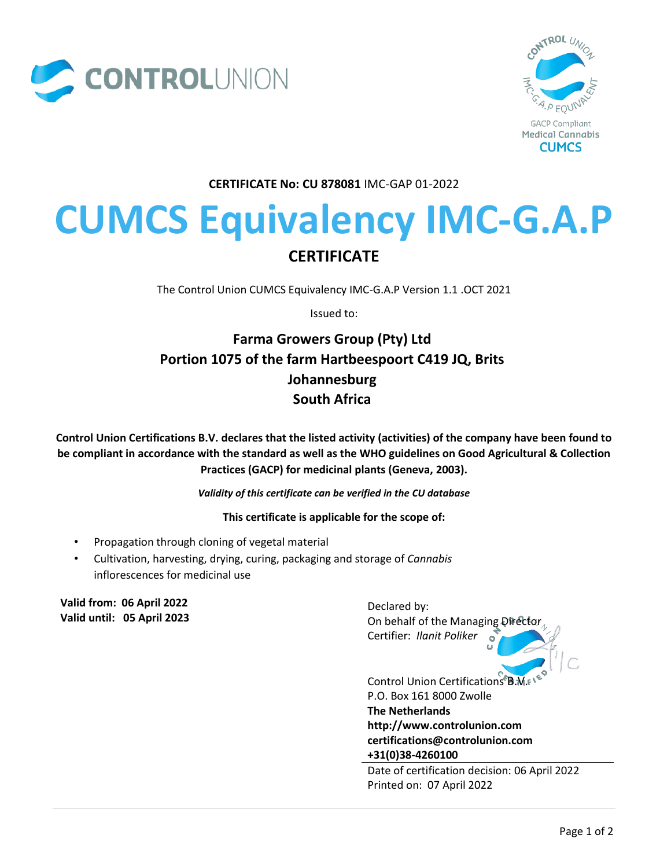



**CERTIFICATE No: CU 878081** IMC-GAP 01-2022

# **CUMCS Equivalency IMC-G.A.P CERTIFICATE**

The Control Union CUMCS Equivalency IMC-G.A.P Version 1.1 .OCT 2021

Issued to:

## **Farma Growers Group (Pty) Ltd Portion 1075 of the farm Hartbeespoort C419 JQ, Brits Johannesburg South Africa**

**Control Union Certifications B.V. declares that the listed activity (activities) of the company have been found to be compliant in accordance with the standard as well as the WHO guidelines on Good Agricultural & Collection Practices (GACP) for medicinal plants (Geneva, 2003).**

*Validity of this certificate can be verified in the CU database*

**This certificate is applicable for the scope of:**

- Propagation through cloning of vegetal material
- Cultivation, harvesting, drying, curing, packaging and storage of *Cannabis*  inflorescences for medicinal use

**Valid from: 06 April 2022 Valid until: 05 April 2023**